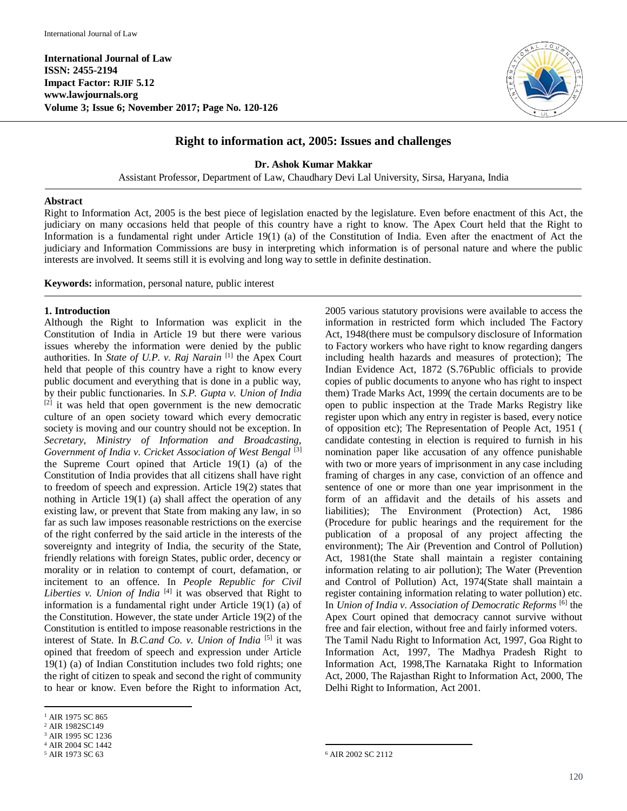

# **Right to information act, 2005: Issues and challenges**

**Dr. Ashok Kumar Makkar**

Assistant Professor, Department of Law, Chaudhary Devi Lal University, Sirsa, Haryana, India

#### **Abstract**

Right to Information Act, 2005 is the best piece of legislation enacted by the legislature. Even before enactment of this Act, the judiciary on many occasions held that people of this country have a right to know. The Apex Court held that the Right to Information is a fundamental right under Article 19(1) (a) of the Constitution of India. Even after the enactment of Act the judiciary and Information Commissions are busy in interpreting which information is of personal nature and where the public interests are involved. It seems still it is evolving and long way to settle in definite destination.

**Keywords:** information, personal nature, public interest

#### **1. Introduction**

Although the Right to Information was explicit in the Constitution of India in Article 19 but there were various issues whereby the information were denied by the public authorities. In *State of U.P. v. Raj Narain* [1] the Apex Court held that people of this country have a right to know every public document and everything that is done in a public way, by their public functionaries. In *S.P. Gupta v. Union of India*  $[2]$  it was held that open government is the new democratic culture of an open society toward which every democratic society is moving and our country should not be exception. In *Secretary, Ministry of Information and Broadcasting, Government of India v. Cricket Association of West Bengal* [3] the Supreme Court opined that Article 19(1) (a) of the Constitution of India provides that all citizens shall have right to freedom of speech and expression. Article 19(2) states that nothing in Article 19(1) (a) shall affect the operation of any existing law, or prevent that State from making any law, in so far as such law imposes reasonable restrictions on the exercise of the right conferred by the said article in the interests of the sovereignty and integrity of India, the security of the State, friendly relations with foreign States, public order, decency or morality or in relation to contempt of court, defamation, or incitement to an offence. In *People Republic for Civil*  Liberties v. Union of India<sup>[4]</sup> it was observed that Right to information is a fundamental right under Article 19(1) (a) of the Constitution. However, the state under Article 19(2) of the Constitution is entitled to impose reasonable restrictions in the interest of State. In *B.C.and Co. v. Union of India* [5] it was opined that freedom of speech and expression under Article 19(1) (a) of Indian Constitution includes two fold rights; one the right of citizen to speak and second the right of community to hear or know. Even before the Right to information Act,

<sup>5</sup> AIR 1973 SC 63

2005 various statutory provisions were available to access the information in restricted form which included The Factory Act, 1948(there must be compulsory disclosure of Information to Factory workers who have right to know regarding dangers including health hazards and measures of protection); The Indian Evidence Act, 1872 (S.76Public officials to provide copies of public documents to anyone who has right to inspect them) Trade Marks Act, 1999( the certain documents are to be open to public inspection at the Trade Marks Registry like register upon which any entry in register is based, every notice of opposition etc); The Representation of People Act, 1951 ( candidate contesting in election is required to furnish in his nomination paper like accusation of any offence punishable with two or more years of imprisonment in any case including framing of charges in any case, conviction of an offence and sentence of one or more than one year imprisonment in the form of an affidavit and the details of his assets and liabilities); The Environment (Protection) Act, 1986 (Procedure for public hearings and the requirement for the publication of a proposal of any project affecting the environment); The Air (Prevention and Control of Pollution) Act, 1981(the State shall maintain a register containing information relating to air pollution); The Water (Prevention and Control of Pollution) Act, 1974(State shall maintain a register containing information relating to water pollution) etc. In *Union of India v. Association of Democratic Reforms* [6] the Apex Court opined that democracy cannot survive without free and fair election, without free and fairly informed voters. The Tamil Nadu Right to Information Act, 1997, Goa Right to Information Act, 1997, The Madhya Pradesh Right to Information Act, 1998,The Karnataka Right to Information Act, 2000, The Rajasthan Right to Information Act, 2000, The Delhi Right to Information, Act 2001.

 $\overline{\phantom{a}}$ 

 $\overline{a}$ <sup>1</sup> AIR 1975 SC 865

<sup>2</sup> AIR 1982SC149

<sup>3</sup> AIR 1995 SC 1236

<sup>4</sup> AIR 2004 SC 1442

<sup>6</sup> AIR 2002 SC 2112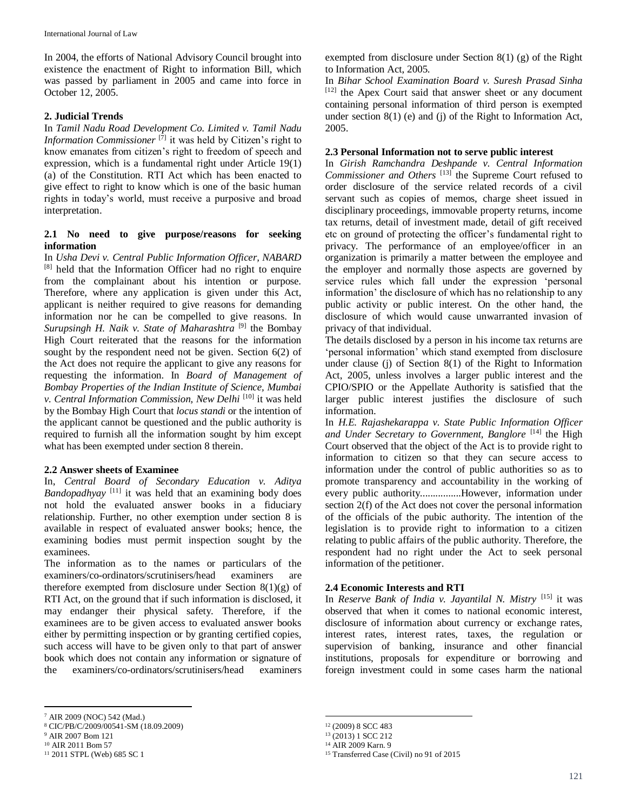In 2004, the efforts of National Advisory Council brought into existence the enactment of Right to information Bill, which was passed by parliament in 2005 and came into force in October 12, 2005.

### **2. Judicial Trends**

In *Tamil Nadu Road Development Co. Limited v. Tamil Nadu Information Commissioner* [7] it was held by Citizen's right to know emanates from citizen's right to freedom of speech and expression, which is a fundamental right under Article 19(1) (a) of the Constitution. RTI Act which has been enacted to give effect to right to know which is one of the basic human rights in today's world, must receive a purposive and broad interpretation.

#### **2.1 No need to give purpose/reasons for seeking information**

In *Usha Devi v. Central Public Information Officer, NABARD* [8] held that the Information Officer had no right to enquire from the complainant about his intention or purpose. Therefore, where any application is given under this Act, applicant is neither required to give reasons for demanding information nor he can be compelled to give reasons. In Surupsingh H. Naik v. State of Maharashtra<sup>[9]</sup> the Bombay High Court reiterated that the reasons for the information sought by the respondent need not be given. Section 6(2) of the Act does not require the applicant to give any reasons for requesting the information. In *Board of Management of Bombay Properties of the Indian Institute of Science, Mumbai v. Central Information Commission, New Delhi* [10] it was held by the Bombay High Court that *locus standi* or the intention of the applicant cannot be questioned and the public authority is required to furnish all the information sought by him except what has been exempted under section 8 therein.

### **2.2 Answer sheets of Examinee**

In, *Central Board of Secondary Education v. Aditya Bandopadhyay* [11] it was held that an examining body does not hold the evaluated answer books in a fiduciary relationship. Further, no other exemption under section 8 is available in respect of evaluated answer books; hence, the examining bodies must permit inspection sought by the examinees.

The information as to the names or particulars of the examiners/co-ordinators/scrutinisers/head examiners therefore exempted from disclosure under Section 8(1)(g) of RTI Act, on the ground that if such information is disclosed, it may endanger their physical safety. Therefore, if the examinees are to be given access to evaluated answer books either by permitting inspection or by granting certified copies, such access will have to be given only to that part of answer book which does not contain any information or signature of the examiners/co-ordinators/scrutinisers/head examiners

<sup>9</sup> AIR 2007 Bom 121

 $\overline{a}$ 

exempted from disclosure under Section 8(1) (g) of the Right to Information Act, 2005.

In *Bihar School Examination Board v. Suresh Prasad Sinha* [12] the Apex Court said that answer sheet or any document containing personal information of third person is exempted under section 8(1) (e) and (j) of the Right to Information Act, 2005.

### **2.3 Personal Information not to serve public interest**

In *Girish Ramchandra Deshpande v. Central Information*  Commissioner and Others<sup>[13]</sup> the Supreme Court refused to order disclosure of the service related records of a civil servant such as copies of memos, charge sheet issued in disciplinary proceedings, immovable property returns, income tax returns, detail of investment made, detail of gift received etc on ground of protecting the officer's fundamental right to privacy. The performance of an employee/officer in an organization is primarily a matter between the employee and the employer and normally those aspects are governed by service rules which fall under the expression 'personal information' the disclosure of which has no relationship to any public activity or public interest. On the other hand, the disclosure of which would cause unwarranted invasion of privacy of that individual.

The details disclosed by a person in his income tax returns are 'personal information' which stand exempted from disclosure under clause (j) of Section 8(1) of the Right to Information Act, 2005, unless involves a larger public interest and the CPIO/SPIO or the Appellate Authority is satisfied that the larger public interest justifies the disclosure of such information.

In *H.E. Rajashekarappa v. State Public Information Officer*  and Under Secretary to Government, Banglore<sup>[14]</sup> the High Court observed that the object of the Act is to provide right to information to citizen so that they can secure access to information under the control of public authorities so as to promote transparency and accountability in the working of every public authority................However, information under section 2(f) of the Act does not cover the personal information of the officials of the pubic authority. The intention of the legislation is to provide right to information to a citizen relating to public affairs of the public authority. Therefore, the respondent had no right under the Act to seek personal information of the petitioner.

#### **2.4 Economic Interests and RTI**

In *Reserve Bank of India v. Jayantilal N. Mistry* [15] it was observed that when it comes to national economic interest, disclosure of information about currency or exchange rates, interest rates, interest rates, taxes, the regulation or supervision of banking, insurance and other financial institutions, proposals for expenditure or borrowing and foreign investment could in some cases harm the national

<sup>7</sup> AIR 2009 (NOC) 542 (Mad.)

<sup>8</sup> CIC/PB/C/2009/00541-SM (18.09.2009)

<sup>10</sup> AIR 2011 Bom 57

<sup>11</sup> 2011 STPL (Web) 685 SC 1

 $\overline{a}$ <sup>12</sup> (2009) 8 SCC 483

<sup>13</sup> (2013) 1 SCC 212

<sup>14</sup> AIR 2009 Karn. 9

<sup>15</sup> Transferred Case (Civil) no 91 of 2015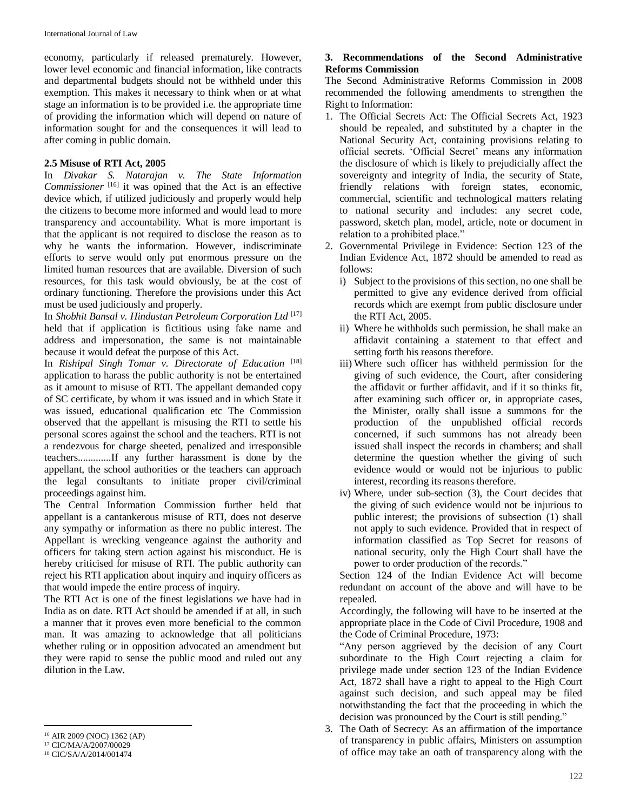economy, particularly if released prematurely. However, lower level economic and financial information, like contracts and departmental budgets should not be withheld under this exemption. This makes it necessary to think when or at what stage an information is to be provided i.e. the appropriate time of providing the information which will depend on nature of information sought for and the consequences it will lead to after coming in public domain.

### **2.5 Misuse of RTI Act, 2005**

In *Divakar S. Natarajan v. The State Information Commissioner* [16] it was opined that the Act is an effective device which, if utilized judiciously and properly would help the citizens to become more informed and would lead to more transparency and accountability. What is more important is that the applicant is not required to disclose the reason as to why he wants the information. However, indiscriminate efforts to serve would only put enormous pressure on the limited human resources that are available. Diversion of such resources, for this task would obviously, be at the cost of ordinary functioning. Therefore the provisions under this Act must be used judiciously and properly.

In *Shobhit Bansal v. Hindustan Petroleum Corporation Ltd* [17] held that if application is fictitious using fake name and address and impersonation, the same is not maintainable because it would defeat the purpose of this Act.

In *Rishipal Singh Tomar v. Directorate of Education*<sup>[18]</sup> application to harass the public authority is not be entertained as it amount to misuse of RTI. The appellant demanded copy of SC certificate, by whom it was issued and in which State it was issued, educational qualification etc The Commission observed that the appellant is misusing the RTI to settle his personal scores against the school and the teachers. RTI is not a rendezvous for charge sheeted, penalized and irresponsible teachers.............If any further harassment is done by the appellant, the school authorities or the teachers can approach the legal consultants to initiate proper civil/criminal proceedings against him.

The Central Information Commission further held that appellant is a cantankerous misuse of RTI, does not deserve any sympathy or information as there no public interest. The Appellant is wrecking vengeance against the authority and officers for taking stern action against his misconduct. He is hereby criticised for misuse of RTI. The public authority can reject his RTI application about inquiry and inquiry officers as that would impede the entire process of inquiry.

The RTI Act is one of the finest legislations we have had in India as on date. RTI Act should be amended if at all, in such a manner that it proves even more beneficial to the common man. It was amazing to acknowledge that all politicians whether ruling or in opposition advocated an amendment but they were rapid to sense the public mood and ruled out any dilution in the Law.

 $\overline{a}$ 

## **3. Recommendations of the Second Administrative Reforms Commission**

The Second Administrative Reforms Commission in 2008 recommended the following amendments to strengthen the Right to Information:

- 1. The Official Secrets Act: The Official Secrets Act, 1923 should be repealed, and substituted by a chapter in the National Security Act, containing provisions relating to official secrets. 'Official Secret' means any information the disclosure of which is likely to prejudicially affect the sovereignty and integrity of India, the security of State, friendly relations with foreign states, economic, commercial, scientific and technological matters relating to national security and includes: any secret code, password, sketch plan, model, article, note or document in relation to a prohibited place."
- 2. Governmental Privilege in Evidence: Section 123 of the Indian Evidence Act, 1872 should be amended to read as follows:
	- i) Subject to the provisions of this section, no one shall be permitted to give any evidence derived from official records which are exempt from public disclosure under the RTI Act, 2005.
	- ii) Where he withholds such permission, he shall make an affidavit containing a statement to that effect and setting forth his reasons therefore.
	- iii) Where such officer has withheld permission for the giving of such evidence, the Court, after considering the affidavit or further affidavit, and if it so thinks fit, after examining such officer or, in appropriate cases, the Minister, orally shall issue a summons for the production of the unpublished official records concerned, if such summons has not already been issued shall inspect the records in chambers; and shall determine the question whether the giving of such evidence would or would not be injurious to public interest, recording its reasons therefore.
	- iv) Where, under sub-section (3), the Court decides that the giving of such evidence would not be injurious to public interest; the provisions of subsection (1) shall not apply to such evidence. Provided that in respect of information classified as Top Secret for reasons of national security, only the High Court shall have the power to order production of the records."

Section 124 of the Indian Evidence Act will become redundant on account of the above and will have to be repealed.

Accordingly, the following will have to be inserted at the appropriate place in the Code of Civil Procedure, 1908 and the Code of Criminal Procedure, 1973:

"Any person aggrieved by the decision of any Court subordinate to the High Court rejecting a claim for privilege made under section 123 of the Indian Evidence Act, 1872 shall have a right to appeal to the High Court against such decision, and such appeal may be filed notwithstanding the fact that the proceeding in which the decision was pronounced by the Court is still pending."

3. The Oath of Secrecy: As an affirmation of the importance of transparency in public affairs, Ministers on assumption of office may take an oath of transparency along with the

<sup>16</sup> AIR 2009 (NOC) 1362 (AP)

<sup>17</sup> CIC/MA/A/2007/00029

<sup>18</sup> CIC/SA/A/2014/001474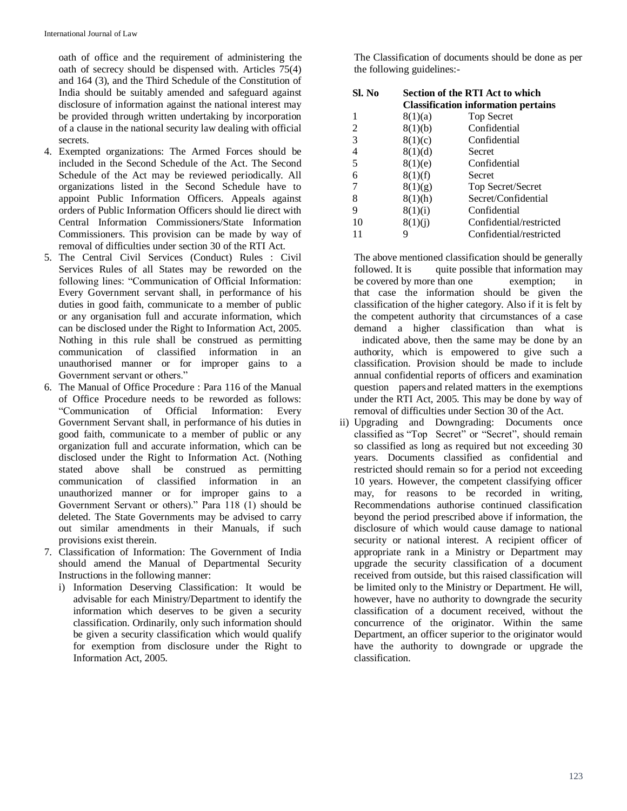oath of office and the requirement of administering the oath of secrecy should be dispensed with. Articles 75(4) and 164 (3), and the Third Schedule of the Constitution of India should be suitably amended and safeguard against disclosure of information against the national interest may be provided through written undertaking by incorporation of a clause in the national security law dealing with official secrets.

- 4. Exempted organizations: The Armed Forces should be included in the Second Schedule of the Act. The Second Schedule of the Act may be reviewed periodically. All organizations listed in the Second Schedule have to appoint Public Information Officers. Appeals against orders of Public Information Officers should lie direct with Central Information Commissioners/State Information Commissioners. This provision can be made by way of removal of difficulties under section 30 of the RTI Act.
- 5. The Central Civil Services (Conduct) Rules : Civil Services Rules of all States may be reworded on the following lines: "Communication of Official Information: Every Government servant shall, in performance of his duties in good faith, communicate to a member of public or any organisation full and accurate information, which can be disclosed under the Right to Information Act, 2005. Nothing in this rule shall be construed as permitting communication of classified information in an unauthorised manner or for improper gains to a Government servant or others."
- 6. The Manual of Office Procedure : Para 116 of the Manual of Office Procedure needs to be reworded as follows: "Communication of Official Information: Every Government Servant shall, in performance of his duties in good faith, communicate to a member of public or any organization full and accurate information, which can be disclosed under the Right to Information Act. (Nothing stated above shall be construed as permitting communication of classified information in an unauthorized manner or for improper gains to a Government Servant or others)." Para 118 (1) should be deleted. The State Governments may be advised to carry out similar amendments in their Manuals, if such provisions exist therein.
- 7. Classification of Information: The Government of India should amend the Manual of Departmental Security Instructions in the following manner:
	- i) Information Deserving Classification: It would be advisable for each Ministry/Department to identify the information which deserves to be given a security classification. Ordinarily, only such information should be given a security classification which would qualify for exemption from disclosure under the Right to Information Act, 2005.

The Classification of documents should be done as per the following guidelines:-

| Sl. No | Section of the RTI Act to which            |                         |
|--------|--------------------------------------------|-------------------------|
|        | <b>Classification information pertains</b> |                         |
| 1      | 8(1)(a)                                    | <b>Top Secret</b>       |
| 2      | 8(1)(b)                                    | Confidential            |
| 3      | 8(1)(c)                                    | Confidential            |
| 4      | 8(1)(d)                                    | Secret                  |
| 5      | 8(1)(e)                                    | Confidential            |
| 6      | 8(1)(f)                                    | Secret                  |
| 7      | 8(1)(g)                                    | Top Secret/Secret       |
| 8      | 8(1)(h)                                    | Secret/Confidential     |
| 9      | 8(1)(i)                                    | Confidential            |
| 10     | 8(1)(i)                                    | Confidential/restricted |
|        | Q                                          | Confidential/restricted |

The above mentioned classification should be generally followed. It is quite possible that information may be covered by more than one exemption; in that case the information should be given the classification of the higher category. Also if it is felt by the competent authority that circumstances of a case demand a higher classification than what is indicated above, then the same may be done by an authority, which is empowered to give such a classification. Provision should be made to include annual confidential reports of officers and examination question papers and related matters in the exemptions under the RTI Act, 2005. This may be done by way of removal of difficulties under Section 30 of the Act.

ii) Upgrading and Downgrading: Documents once classified as "Top Secret" or "Secret", should remain so classified as long as required but not exceeding 30 years. Documents classified as confidential and restricted should remain so for a period not exceeding 10 years. However, the competent classifying officer may, for reasons to be recorded in writing, Recommendations authorise continued classification beyond the period prescribed above if information, the disclosure of which would cause damage to national security or national interest. A recipient officer of appropriate rank in a Ministry or Department may upgrade the security classification of a document received from outside, but this raised classification will be limited only to the Ministry or Department. He will, however, have no authority to downgrade the security classification of a document received, without the concurrence of the originator. Within the same Department, an officer superior to the originator would have the authority to downgrade or upgrade the classification.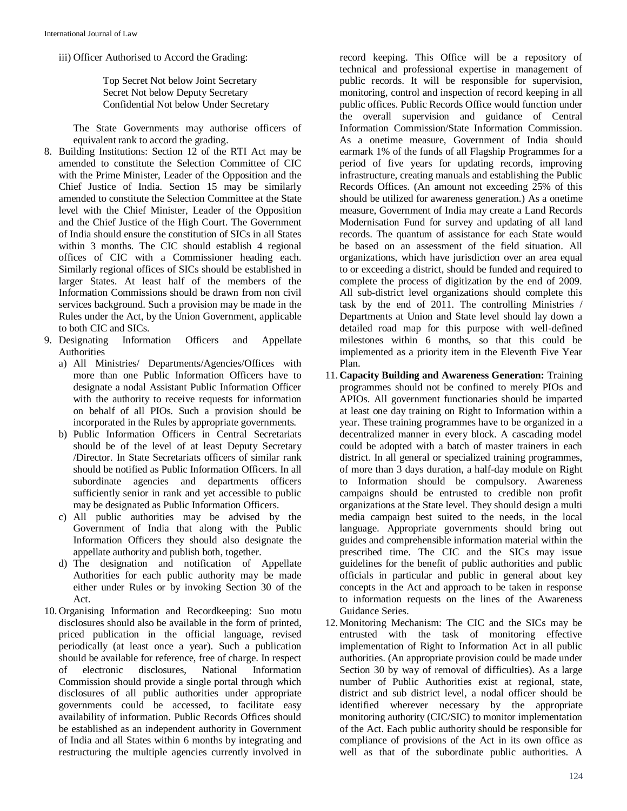iii) Officer Authorised to Accord the Grading:

Top Secret Not below Joint Secretary Secret Not below Deputy Secretary Confidential Not below Under Secretary

The State Governments may authorise officers of equivalent rank to accord the grading.

- 8. Building Institutions: Section 12 of the RTI Act may be amended to constitute the Selection Committee of CIC with the Prime Minister, Leader of the Opposition and the Chief Justice of India. Section 15 may be similarly amended to constitute the Selection Committee at the State level with the Chief Minister, Leader of the Opposition and the Chief Justice of the High Court. The Government of India should ensure the constitution of SICs in all States within 3 months. The CIC should establish 4 regional offices of CIC with a Commissioner heading each. Similarly regional offices of SICs should be established in larger States. At least half of the members of the Information Commissions should be drawn from non civil services background. Such a provision may be made in the Rules under the Act, by the Union Government, applicable to both CIC and SICs.
- 9. Designating Information Officers and Appellate Authorities
	- a) All Ministries/ Departments/Agencies/Offices with more than one Public Information Officers have to designate a nodal Assistant Public Information Officer with the authority to receive requests for information on behalf of all PIOs. Such a provision should be incorporated in the Rules by appropriate governments.
	- b) Public Information Officers in Central Secretariats should be of the level of at least Deputy Secretary /Director. In State Secretariats officers of similar rank should be notified as Public Information Officers. In all subordinate agencies and departments officers sufficiently senior in rank and yet accessible to public may be designated as Public Information Officers.
	- c) All public authorities may be advised by the Government of India that along with the Public Information Officers they should also designate the appellate authority and publish both, together.
	- d) The designation and notification of Appellate Authorities for each public authority may be made either under Rules or by invoking Section 30 of the Act.
- 10. Organising Information and Recordkeeping: Suo motu disclosures should also be available in the form of printed, priced publication in the official language, revised periodically (at least once a year). Such a publication should be available for reference, free of charge. In respect of electronic disclosures, National Information Commission should provide a single portal through which disclosures of all public authorities under appropriate governments could be accessed, to facilitate easy availability of information. Public Records Offices should be established as an independent authority in Government of India and all States within 6 months by integrating and restructuring the multiple agencies currently involved in

record keeping. This Office will be a repository of technical and professional expertise in management of public records. It will be responsible for supervision, monitoring, control and inspection of record keeping in all public offices. Public Records Office would function under the overall supervision and guidance of Central Information Commission/State Information Commission. As a onetime measure, Government of India should earmark 1% of the funds of all Flagship Programmes for a period of five years for updating records, improving infrastructure, creating manuals and establishing the Public Records Offices. (An amount not exceeding 25% of this should be utilized for awareness generation.) As a onetime measure, Government of India may create a Land Records Modernisation Fund for survey and updating of all land records. The quantum of assistance for each State would be based on an assessment of the field situation. All organizations, which have jurisdiction over an area equal to or exceeding a district, should be funded and required to complete the process of digitization by the end of 2009. All sub-district level organizations should complete this task by the end of 2011. The controlling Ministries / Departments at Union and State level should lay down a detailed road map for this purpose with well-defined milestones within 6 months, so that this could be implemented as a priority item in the Eleventh Five Year Plan.

- 11. **Capacity Building and Awareness Generation:** Training programmes should not be confined to merely PIOs and APIOs. All government functionaries should be imparted at least one day training on Right to Information within a year. These training programmes have to be organized in a decentralized manner in every block. A cascading model could be adopted with a batch of master trainers in each district. In all general or specialized training programmes, of more than 3 days duration, a half-day module on Right to Information should be compulsory. Awareness campaigns should be entrusted to credible non profit organizations at the State level. They should design a multi media campaign best suited to the needs, in the local language. Appropriate governments should bring out guides and comprehensible information material within the prescribed time. The CIC and the SICs may issue guidelines for the benefit of public authorities and public officials in particular and public in general about key concepts in the Act and approach to be taken in response to information requests on the lines of the Awareness Guidance Series.
- 12. Monitoring Mechanism: The CIC and the SICs may be entrusted with the task of monitoring effective implementation of Right to Information Act in all public authorities. (An appropriate provision could be made under Section 30 by way of removal of difficulties). As a large number of Public Authorities exist at regional, state, district and sub district level, a nodal officer should be identified wherever necessary by the appropriate monitoring authority (CIC/SIC) to monitor implementation of the Act. Each public authority should be responsible for compliance of provisions of the Act in its own office as well as that of the subordinate public authorities. A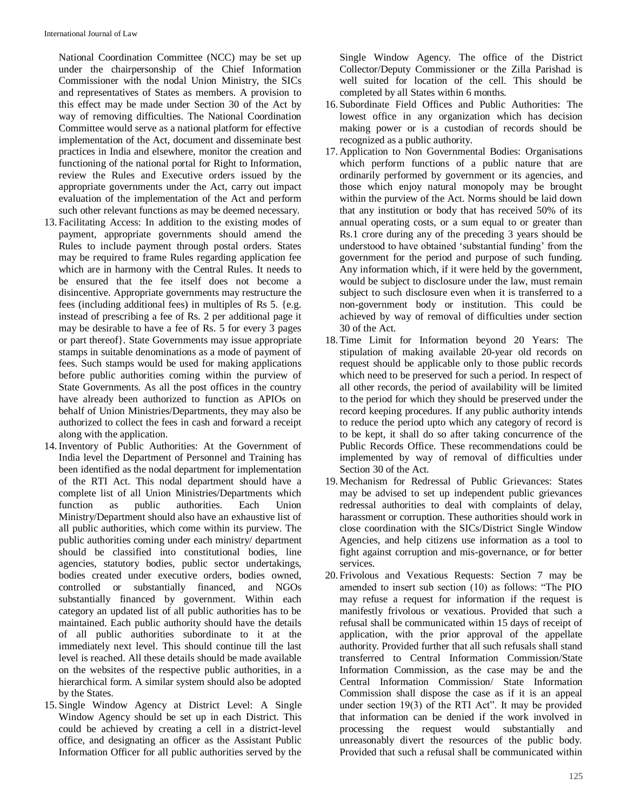National Coordination Committee (NCC) may be set up under the chairpersonship of the Chief Information Commissioner with the nodal Union Ministry, the SICs and representatives of States as members. A provision to this effect may be made under Section 30 of the Act by way of removing difficulties. The National Coordination Committee would serve as a national platform for effective implementation of the Act, document and disseminate best practices in India and elsewhere, monitor the creation and functioning of the national portal for Right to Information, review the Rules and Executive orders issued by the appropriate governments under the Act, carry out impact evaluation of the implementation of the Act and perform such other relevant functions as may be deemed necessary.

- 13. Facilitating Access: In addition to the existing modes of payment, appropriate governments should amend the Rules to include payment through postal orders. States may be required to frame Rules regarding application fee which are in harmony with the Central Rules. It needs to be ensured that the fee itself does not become a disincentive. Appropriate governments may restructure the fees (including additional fees) in multiples of Rs 5. {e.g. instead of prescribing a fee of Rs. 2 per additional page it may be desirable to have a fee of Rs. 5 for every 3 pages or part thereof}. State Governments may issue appropriate stamps in suitable denominations as a mode of payment of fees. Such stamps would be used for making applications before public authorities coming within the purview of State Governments. As all the post offices in the country have already been authorized to function as APIOs on behalf of Union Ministries/Departments, they may also be authorized to collect the fees in cash and forward a receipt along with the application.
- 14.Inventory of Public Authorities: At the Government of India level the Department of Personnel and Training has been identified as the nodal department for implementation of the RTI Act. This nodal department should have a complete list of all Union Ministries/Departments which function as public authorities. Each Union Ministry/Department should also have an exhaustive list of all public authorities, which come within its purview. The public authorities coming under each ministry/ department should be classified into constitutional bodies, line agencies, statutory bodies, public sector undertakings, bodies created under executive orders, bodies owned, controlled or substantially financed, and NGOs substantially financed by government. Within each category an updated list of all public authorities has to be maintained. Each public authority should have the details of all public authorities subordinate to it at the immediately next level. This should continue till the last level is reached. All these details should be made available on the websites of the respective public authorities, in a hierarchical form. A similar system should also be adopted by the States.
- 15. Single Window Agency at District Level: A Single Window Agency should be set up in each District. This could be achieved by creating a cell in a district-level office, and designating an officer as the Assistant Public Information Officer for all public authorities served by the

Single Window Agency. The office of the District Collector/Deputy Commissioner or the Zilla Parishad is well suited for location of the cell. This should be completed by all States within 6 months.

- 16. Subordinate Field Offices and Public Authorities: The lowest office in any organization which has decision making power or is a custodian of records should be recognized as a public authority.
- 17. Application to Non Governmental Bodies: Organisations which perform functions of a public nature that are ordinarily performed by government or its agencies, and those which enjoy natural monopoly may be brought within the purview of the Act. Norms should be laid down that any institution or body that has received 50% of its annual operating costs, or a sum equal to or greater than Rs.1 crore during any of the preceding 3 years should be understood to have obtained 'substantial funding' from the government for the period and purpose of such funding. Any information which, if it were held by the government, would be subject to disclosure under the law, must remain subject to such disclosure even when it is transferred to a non-government body or institution. This could be achieved by way of removal of difficulties under section 30 of the Act.
- 18. Time Limit for Information beyond 20 Years: The stipulation of making available 20-year old records on request should be applicable only to those public records which need to be preserved for such a period. In respect of all other records, the period of availability will be limited to the period for which they should be preserved under the record keeping procedures. If any public authority intends to reduce the period upto which any category of record is to be kept, it shall do so after taking concurrence of the Public Records Office. These recommendations could be implemented by way of removal of difficulties under Section 30 of the Act.
- 19. Mechanism for Redressal of Public Grievances: States may be advised to set up independent public grievances redressal authorities to deal with complaints of delay, harassment or corruption. These authorities should work in close coordination with the SICs/District Single Window Agencies, and help citizens use information as a tool to fight against corruption and mis-governance, or for better services.
- 20. Frivolous and Vexatious Requests: Section 7 may be amended to insert sub section (10) as follows: "The PIO may refuse a request for information if the request is manifestly frivolous or vexatious. Provided that such a refusal shall be communicated within 15 days of receipt of application, with the prior approval of the appellate authority. Provided further that all such refusals shall stand transferred to Central Information Commission/State Information Commission, as the case may be and the Central Information Commission/ State Information Commission shall dispose the case as if it is an appeal under section 19(3) of the RTI Act". It may be provided that information can be denied if the work involved in processing the request would substantially and unreasonably divert the resources of the public body. Provided that such a refusal shall be communicated within